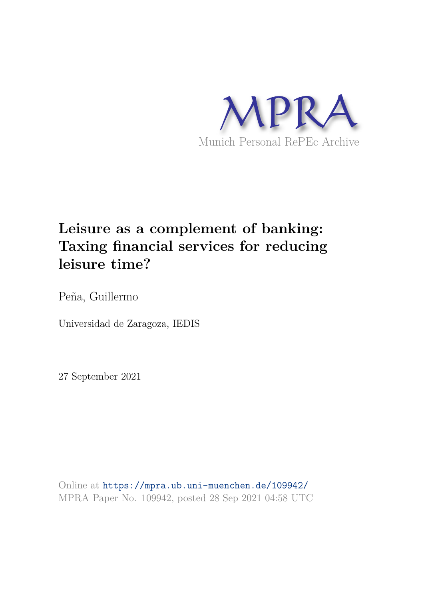

# **Leisure as a complement of banking: Taxing financial services for reducing leisure time?**

Peña, Guillermo

Universidad de Zaragoza, IEDIS

27 September 2021

Online at https://mpra.ub.uni-muenchen.de/109942/ MPRA Paper No. 109942, posted 28 Sep 2021 04:58 UTC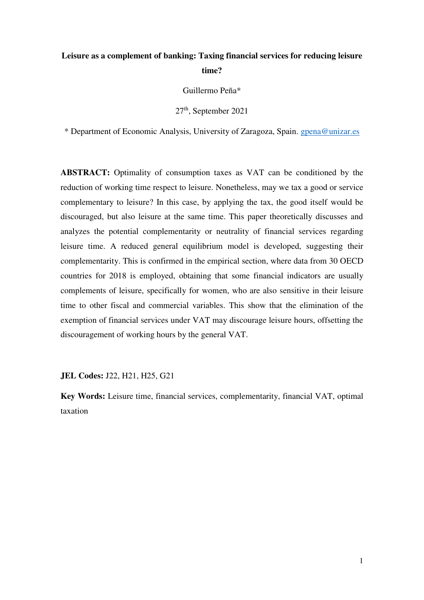## **Leisure as a complement of banking: Taxing financial services for reducing leisure time?**

Guillermo Peña\*

27th, September 2021

\* Department of Economic Analysis, University of Zaragoza, Spain. [gpena@unizar.es](mailto:gpena@unizar.es) 

**ABSTRACT:** Optimality of consumption taxes as VAT can be conditioned by the reduction of working time respect to leisure. Nonetheless, may we tax a good or service complementary to leisure? In this case, by applying the tax, the good itself would be discouraged, but also leisure at the same time. This paper theoretically discusses and analyzes the potential complementarity or neutrality of financial services regarding leisure time. A reduced general equilibrium model is developed, suggesting their complementarity. This is confirmed in the empirical section, where data from 30 OECD countries for 2018 is employed, obtaining that some financial indicators are usually complements of leisure, specifically for women, who are also sensitive in their leisure time to other fiscal and commercial variables. This show that the elimination of the exemption of financial services under VAT may discourage leisure hours, offsetting the discouragement of working hours by the general VAT.

**JEL Codes:** J22, H21, H25, G21

**Key Words:** Leisure time, financial services, complementarity, financial VAT, optimal taxation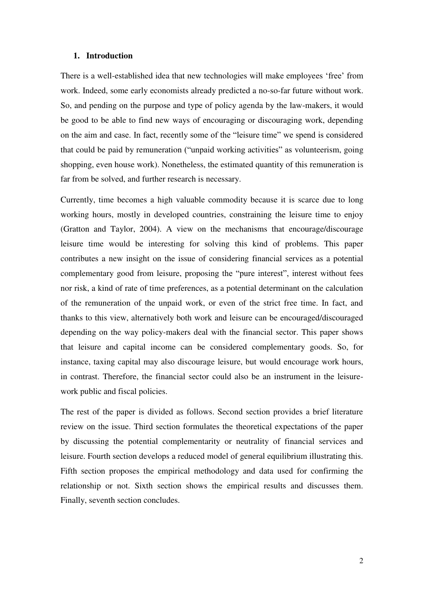#### **1. Introduction**

There is a well-established idea that new technologies will make employees 'free' from work. Indeed, some early economists already predicted a no-so-far future without work. So, and pending on the purpose and type of policy agenda by the law-makers, it would be good to be able to find new ways of encouraging or discouraging work, depending on the aim and case. In fact, recently some of the "leisure time" we spend is considered that could be paid by remuneration ("unpaid working activities" as volunteerism, going shopping, even house work). Nonetheless, the estimated quantity of this remuneration is far from be solved, and further research is necessary.

Currently, time becomes a high valuable commodity because it is scarce due to long working hours, mostly in developed countries, constraining the leisure time to enjoy (Gratton and Taylor, 2004). A view on the mechanisms that encourage/discourage leisure time would be interesting for solving this kind of problems. This paper contributes a new insight on the issue of considering financial services as a potential complementary good from leisure, proposing the "pure interest", interest without fees nor risk, a kind of rate of time preferences, as a potential determinant on the calculation of the remuneration of the unpaid work, or even of the strict free time. In fact, and thanks to this view, alternatively both work and leisure can be encouraged/discouraged depending on the way policy-makers deal with the financial sector. This paper shows that leisure and capital income can be considered complementary goods. So, for instance, taxing capital may also discourage leisure, but would encourage work hours, in contrast. Therefore, the financial sector could also be an instrument in the leisurework public and fiscal policies.

The rest of the paper is divided as follows. Second section provides a brief literature review on the issue. Third section formulates the theoretical expectations of the paper by discussing the potential complementarity or neutrality of financial services and leisure. Fourth section develops a reduced model of general equilibrium illustrating this. Fifth section proposes the empirical methodology and data used for confirming the relationship or not. Sixth section shows the empirical results and discusses them. Finally, seventh section concludes.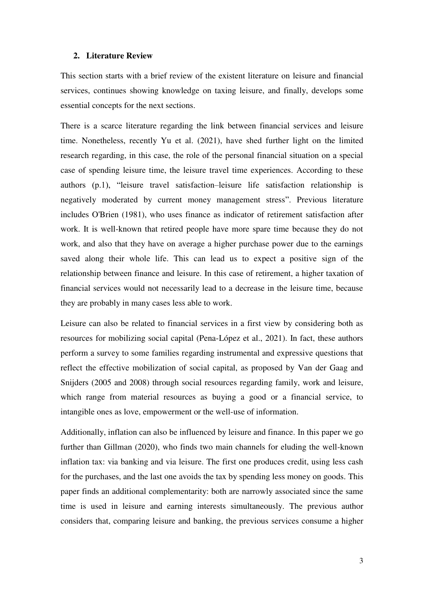#### **2. Literature Review**

This section starts with a brief review of the existent literature on leisure and financial services, continues showing knowledge on taxing leisure, and finally, develops some essential concepts for the next sections.

There is a scarce literature regarding the link between financial services and leisure time. Nonetheless, recently Yu et al. (2021), have shed further light on the limited research regarding, in this case, the role of the personal financial situation on a special case of spending leisure time, the leisure travel time experiences. According to these authors (p.1), "leisure travel satisfaction–leisure life satisfaction relationship is negatively moderated by current money management stress". Previous literature includes O'Brien (1981), who uses finance as indicator of retirement satisfaction after work. It is well-known that retired people have more spare time because they do not work, and also that they have on average a higher purchase power due to the earnings saved along their whole life. This can lead us to expect a positive sign of the relationship between finance and leisure. In this case of retirement, a higher taxation of financial services would not necessarily lead to a decrease in the leisure time, because they are probably in many cases less able to work.

Leisure can also be related to financial services in a first view by considering both as resources for mobilizing social capital (Pena-López et al., 2021). In fact, these authors perform a survey to some families regarding instrumental and expressive questions that reflect the effective mobilization of social capital, as proposed by Van der Gaag and Snijders (2005 and 2008) through social resources regarding family, work and leisure, which range from material resources as buying a good or a financial service, to intangible ones as love, empowerment or the well-use of information.

Additionally, inflation can also be influenced by leisure and finance. In this paper we go further than Gillman (2020), who finds two main channels for eluding the well-known inflation tax: via banking and via leisure. The first one produces credit, using less cash for the purchases, and the last one avoids the tax by spending less money on goods. This paper finds an additional complementarity: both are narrowly associated since the same time is used in leisure and earning interests simultaneously. The previous author considers that, comparing leisure and banking, the previous services consume a higher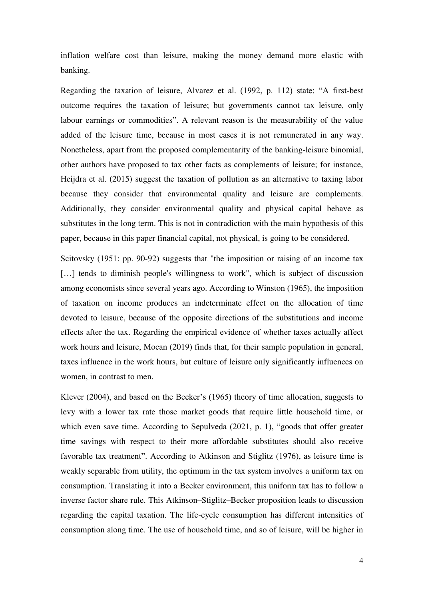inflation welfare cost than leisure, making the money demand more elastic with banking.

Regarding the taxation of leisure, Alvarez et al. (1992, p. 112) state: "A first-best outcome requires the taxation of leisure; but governments cannot tax leisure, only labour earnings or commodities". A relevant reason is the measurability of the value added of the leisure time, because in most cases it is not remunerated in any way. Nonetheless, apart from the proposed complementarity of the banking-leisure binomial, other authors have proposed to tax other facts as complements of leisure; for instance, Heijdra et al. (2015) suggest the taxation of pollution as an alternative to taxing labor because they consider that environmental quality and leisure are complements. Additionally, they consider environmental quality and physical capital behave as substitutes in the long term. This is not in contradiction with the main hypothesis of this paper, because in this paper financial capital, not physical, is going to be considered.

Scitovsky (1951: pp. 90-92) suggests that "the imposition or raising of an income tax [...] tends to diminish people's willingness to work", which is subject of discussion among economists since several years ago. According to Winston (1965), the imposition of taxation on income produces an indeterminate effect on the allocation of time devoted to leisure, because of the opposite directions of the substitutions and income effects after the tax. Regarding the empirical evidence of whether taxes actually affect work hours and leisure, Mocan (2019) finds that, for their sample population in general, taxes influence in the work hours, but culture of leisure only significantly influences on women, in contrast to men.

Klever (2004), and based on the Becker's (1965) theory of time allocation, suggests to levy with a lower tax rate those market goods that require little household time, or which even save time. According to Sepulveda (2021, p. 1), "goods that offer greater time savings with respect to their more affordable substitutes should also receive favorable tax treatment". According to Atkinson and Stiglitz (1976), as leisure time is weakly separable from utility, the optimum in the tax system involves a uniform tax on consumption. Translating it into a Becker environment, this uniform tax has to follow a inverse factor share rule. This Atkinson–Stiglitz–Becker proposition leads to discussion regarding the capital taxation. The life-cycle consumption has different intensities of consumption along time. The use of household time, and so of leisure, will be higher in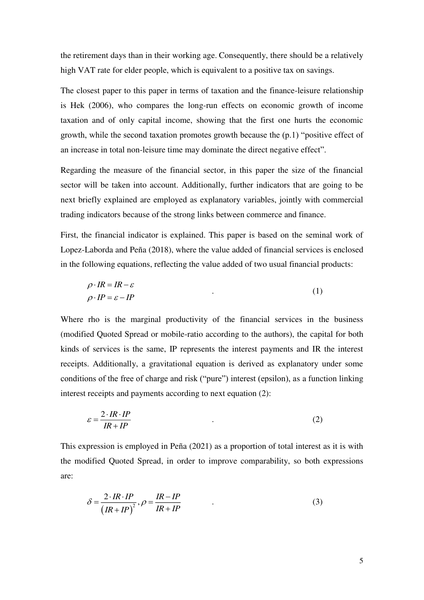the retirement days than in their working age. Consequently, there should be a relatively high VAT rate for elder people, which is equivalent to a positive tax on savings.

The closest paper to this paper in terms of taxation and the finance-leisure relationship is Hek (2006), who compares the long-run effects on economic growth of income taxation and of only capital income, showing that the first one hurts the economic growth, while the second taxation promotes growth because the (p.1) "positive effect of an increase in total non-leisure time may dominate the direct negative effect".

Regarding the measure of the financial sector, in this paper the size of the financial sector will be taken into account. Additionally, further indicators that are going to be next briefly explained are employed as explanatory variables, jointly with commercial trading indicators because of the strong links between commerce and finance.

First, the financial indicator is explained. This paper is based on the seminal work of Lopez-Laborda and Peña (2018), where the value added of financial services is enclosed in the following equations, reflecting the value added of two usual financial products:

$$
\rho \cdot IR = IR - \varepsilon
$$
  
\n
$$
\rho \cdot IP = \varepsilon - IP
$$
\n(1)

Where rho is the marginal productivity of the financial services in the business (modified Quoted Spread or mobile-ratio according to the authors), the capital for both kinds of services is the same, IP represents the interest payments and IR the interest receipts. Additionally, a gravitational equation is derived as explanatory under some conditions of the free of charge and risk ("pure") interest (epsilon), as a function linking interest receipts and payments according to next equation (2):

$$
\varepsilon = \frac{2 \cdot IR \cdot IP}{IR + IP} \tag{2}
$$

This expression is employed in Peña (2021) as a proportion of total interest as it is with the modified Quoted Spread, in order to improve comparability, so both expressions are:

$$
\delta = \frac{2 \cdot IR \cdot IP}{\left( IR + IP \right)^2}, \rho = \frac{IR - IP}{IR + IP} \tag{3}
$$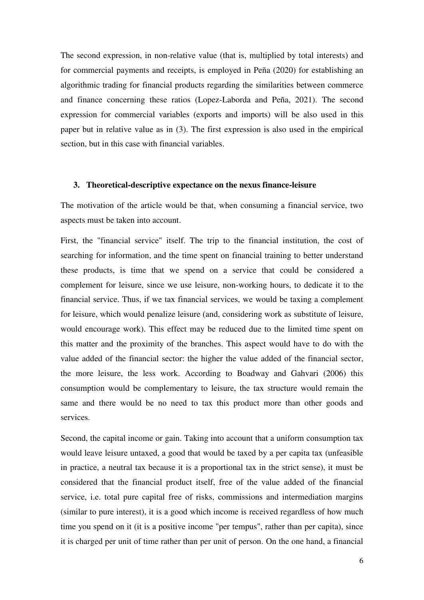The second expression, in non-relative value (that is, multiplied by total interests) and for commercial payments and receipts, is employed in Peña (2020) for establishing an algorithmic trading for financial products regarding the similarities between commerce and finance concerning these ratios (Lopez-Laborda and Peña, 2021). The second expression for commercial variables (exports and imports) will be also used in this paper but in relative value as in (3). The first expression is also used in the empirical section, but in this case with financial variables.

#### **3. Theoretical-descriptive expectance on the nexus finance-leisure**

The motivation of the article would be that, when consuming a financial service, two aspects must be taken into account.

First, the "financial service" itself. The trip to the financial institution, the cost of searching for information, and the time spent on financial training to better understand these products, is time that we spend on a service that could be considered a complement for leisure, since we use leisure, non-working hours, to dedicate it to the financial service. Thus, if we tax financial services, we would be taxing a complement for leisure, which would penalize leisure (and, considering work as substitute of leisure, would encourage work). This effect may be reduced due to the limited time spent on this matter and the proximity of the branches. This aspect would have to do with the value added of the financial sector: the higher the value added of the financial sector, the more leisure, the less work. According to Boadway and Gahvari (2006) this consumption would be complementary to leisure, the tax structure would remain the same and there would be no need to tax this product more than other goods and services.

Second, the capital income or gain. Taking into account that a uniform consumption tax would leave leisure untaxed, a good that would be taxed by a per capita tax (unfeasible in practice, a neutral tax because it is a proportional tax in the strict sense), it must be considered that the financial product itself, free of the value added of the financial service, i.e. total pure capital free of risks, commissions and intermediation margins (similar to pure interest), it is a good which income is received regardless of how much time you spend on it (it is a positive income "per tempus", rather than per capita), since it is charged per unit of time rather than per unit of person. On the one hand, a financial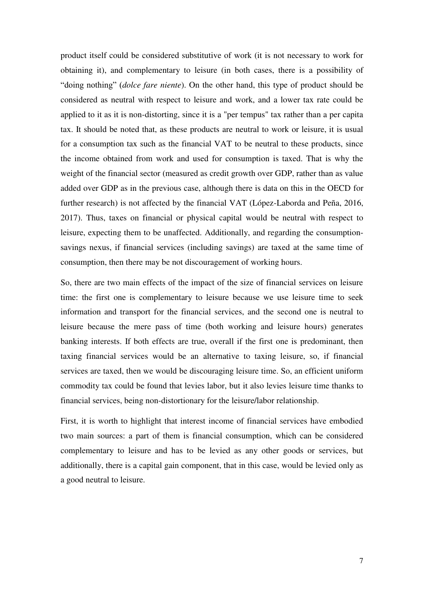product itself could be considered substitutive of work (it is not necessary to work for obtaining it), and complementary to leisure (in both cases, there is a possibility of "doing nothing" (*dolce fare niente*). On the other hand, this type of product should be considered as neutral with respect to leisure and work, and a lower tax rate could be applied to it as it is non-distorting, since it is a "per tempus" tax rather than a per capita tax. It should be noted that, as these products are neutral to work or leisure, it is usual for a consumption tax such as the financial VAT to be neutral to these products, since the income obtained from work and used for consumption is taxed. That is why the weight of the financial sector (measured as credit growth over GDP, rather than as value added over GDP as in the previous case, although there is data on this in the OECD for further research) is not affected by the financial VAT (López-Laborda and Peña, 2016, 2017). Thus, taxes on financial or physical capital would be neutral with respect to leisure, expecting them to be unaffected. Additionally, and regarding the consumptionsavings nexus, if financial services (including savings) are taxed at the same time of consumption, then there may be not discouragement of working hours.

So, there are two main effects of the impact of the size of financial services on leisure time: the first one is complementary to leisure because we use leisure time to seek information and transport for the financial services, and the second one is neutral to leisure because the mere pass of time (both working and leisure hours) generates banking interests. If both effects are true, overall if the first one is predominant, then taxing financial services would be an alternative to taxing leisure, so, if financial services are taxed, then we would be discouraging leisure time. So, an efficient uniform commodity tax could be found that levies labor, but it also levies leisure time thanks to financial services, being non-distortionary for the leisure/labor relationship.

First, it is worth to highlight that interest income of financial services have embodied two main sources: a part of them is financial consumption, which can be considered complementary to leisure and has to be levied as any other goods or services, but additionally, there is a capital gain component, that in this case, would be levied only as a good neutral to leisure.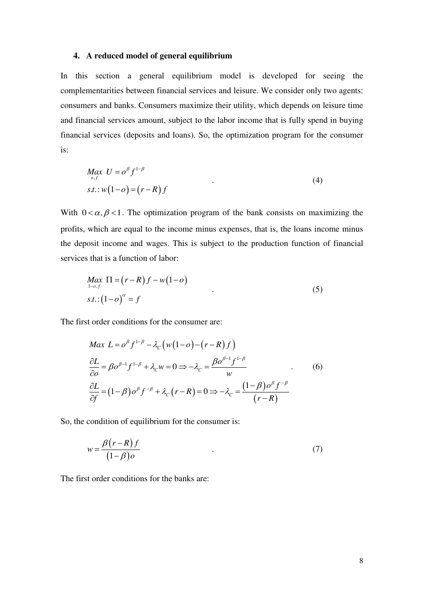### **4. A reduced model of general equilibrium**

In this section a general equilibrium model is developed for seeing the complementarities between financial services and leisure. We consider only two agents: consumers and banks. Consumers maximize their utility, which depends on leisure time and financial services amount, subject to the labor income that is fully spend in buying financial services (deposits and loans). So, the optimization program for the consumer is:

$$
\begin{aligned} \n\mathit{Max} \ \ U &= o^{\beta} f^{1-\beta} \\ \n\mathit{s.t.} \ \mathit{w}(1-o) &= (r-R) \, f \tag{4} \n\end{aligned} \tag{4}
$$

With  $0 < \alpha, \beta < 1$ . The optimization program of the bank consists on maximizing the profits, which are equal to the income minus expenses, that is, the loans income minus the deposit income and wages. This is subject to the production function of financial services that is a function of labor:

$$
\underset{1-o,f}{Max} \Pi = (r - R)f - w(1 - o)
$$
\n
$$
s.t.:(1 - o)^{\alpha} = f
$$
\n
$$
(5)
$$

The first order conditions for the consumer are:

$$
Max L = o^{\beta} f^{1-\beta} - \lambda_c \left( w(1-o) - (r-R)f \right)
$$
  
\n
$$
\frac{\partial L}{\partial o} = \beta o^{\beta-1} f^{1-\beta} + \lambda_c w = 0 \Rightarrow -\lambda_c = \frac{\beta o^{\beta-1} f^{1-\beta}}{w}
$$
  
\n
$$
\frac{\partial L}{\partial f} = (1-\beta) o^{\beta} f^{-\beta} + \lambda_c (r-R) = 0 \Rightarrow -\lambda_c = \frac{(1-\beta) o^{\beta} f^{-\beta}}{(r-R)}
$$
\n(6)

So, the condition of equilibrium for the consumer is:

$$
w = \frac{\beta(r - R)f}{(1 - \beta)\sigma} \tag{7}
$$

The first order conditions for the banks are: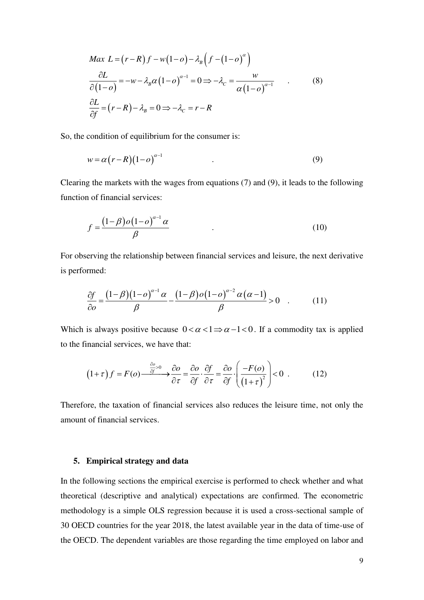$$
Max L = (r - R) f - w(1 - o) - \lambda_B \left( f - (1 - o)^{\alpha} \right)
$$
  
\n
$$
\frac{\partial L}{\partial (1 - o)} = -w - \lambda_B \alpha (1 - o)^{\alpha - 1} = 0 \Rightarrow -\lambda_C = \frac{w}{\alpha (1 - o)^{\alpha - 1}} \quad .
$$
\n(8)  
\n
$$
\frac{\partial L}{\partial f} = (r - R) - \lambda_B = 0 \Rightarrow -\lambda_C = r - R
$$

So, the condition of equilibrium for the consumer is:

$$
w = \alpha (r - R)(1 - o)^{\alpha - 1} \tag{9}
$$

Clearing the markets with the wages from equations (7) and (9), it leads to the following function of financial services:

$$
f = \frac{\left(1 - \beta\right) o \left(1 - o\right)^{\alpha - 1} \alpha}{\beta} \tag{10}
$$

For observing the relationship between financial services and leisure, the next derivative is performed:

$$
\frac{\partial f}{\partial o} = \frac{\left(1-\beta\right)\left(1-o\right)^{\alpha-1}\alpha}{\beta} - \frac{\left(1-\beta\right)o\left(1-o\right)^{\alpha-2}\alpha\left(\alpha-1\right)}{\beta} > 0 \quad . \tag{11}
$$

Which is always positive because  $0 < \alpha < 1 \Rightarrow \alpha - 1 < 0$ . If a commodity tax is applied to the financial services, we have that:

$$
(1+\tau) f = F(o) \xrightarrow{\frac{\partial o}{\partial f} > 0} \frac{\partial o}{\partial \tau} = \frac{\partial o}{\partial f} \cdot \frac{\partial f}{\partial \tau} = \frac{\partial o}{\partial f} \cdot \left( \frac{-F(o)}{\left(1+\tau\right)^2} \right) < 0 \tag{12}
$$

Therefore, the taxation of financial services also reduces the leisure time, not only the amount of financial services.

#### **5. Empirical strategy and data**

In the following sections the empirical exercise is performed to check whether and what theoretical (descriptive and analytical) expectations are confirmed. The econometric methodology is a simple OLS regression because it is used a cross-sectional sample of 30 OECD countries for the year 2018, the latest available year in the data of time-use of the OECD. The dependent variables are those regarding the time employed on labor and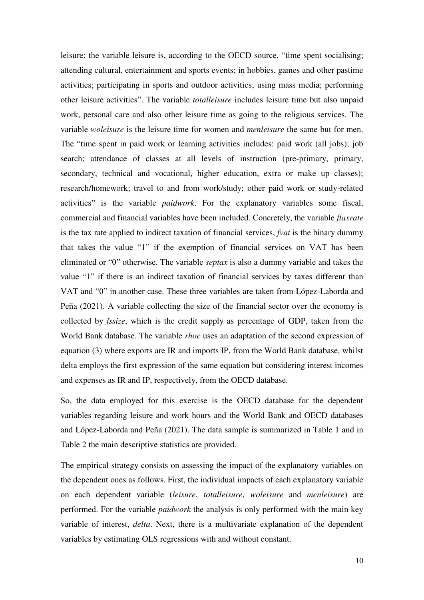leisure: the variable leisure is, according to the OECD source, "time spent socialising; attending cultural, entertainment and sports events; in hobbies, games and other pastime activities; participating in sports and outdoor activities; using mass media; performing other leisure activities". The variable *totalleisure* includes leisure time but also unpaid work, personal care and also other leisure time as going to the religious services. The variable *woleisure* is the leisure time for women and *menleisure* the same but for men. The "time spent in paid work or learning activities includes: paid work (all jobs); job search; attendance of classes at all levels of instruction (pre-primary, primary, secondary, technical and vocational, higher education, extra or make up classes); research/homework; travel to and from work/study; other paid work or study-related activities" is the variable *paidwork*. For the explanatory variables some fiscal, commercial and financial variables have been included. Concretely, the variable *ftaxrate* is the tax rate applied to indirect taxation of financial services, *fvat* is the binary dummy that takes the value "1" if the exemption of financial services on VAT has been eliminated or "0" otherwise. The variable *septax* is also a dummy variable and takes the value "1" if there is an indirect taxation of financial services by taxes different than VAT and "0" in another case. These three variables are taken from López-Laborda and Peña (2021). A variable collecting the size of the financial sector over the economy is collected by *fssize*, which is the credit supply as percentage of GDP, taken from the World Bank database. The variable *rhoc* uses an adaptation of the second expression of equation (3) where exports are IR and imports IP, from the World Bank database, whilst delta employs the first expression of the same equation but considering interest incomes and expenses as IR and IP, respectively, from the OECD database.

So, the data employed for this exercise is the OECD database for the dependent variables regarding leisure and work hours and the World Bank and OECD databases and López-Laborda and Peña (2021). The data sample is summarized in Table 1 and in Table 2 the main descriptive statistics are provided.

The empirical strategy consists on assessing the impact of the explanatory variables on the dependent ones as follows. First, the individual impacts of each explanatory variable on each dependent variable (*leisure*, *totalleisure*, *woleisure* and *menleisure*) are performed. For the variable *paidwork* the analysis is only performed with the main key variable of interest, *delta*. Next, there is a multivariate explanation of the dependent variables by estimating OLS regressions with and without constant.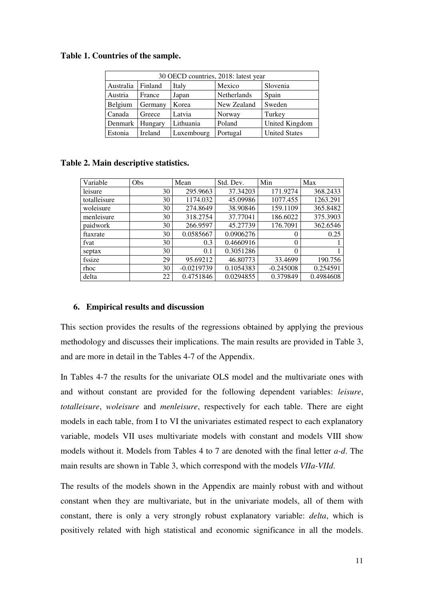#### **Table 1. Countries of the sample.**

| 30 OECD countries, 2018: latest year |         |            |                    |                      |  |  |  |  |  |
|--------------------------------------|---------|------------|--------------------|----------------------|--|--|--|--|--|
| Australia                            | Finland | Italy      | Mexico             | Slovenia             |  |  |  |  |  |
| Austria                              | France  | Japan      | <b>Netherlands</b> | Spain                |  |  |  |  |  |
| Belgium                              | Germany | Korea      | New Zealand        | Sweden               |  |  |  |  |  |
| Canada                               | Greece  | Latvia     | Norway             | Turkey               |  |  |  |  |  |
| Denmark                              | Hungary | Lithuania  | Poland             | United Kingdom       |  |  |  |  |  |
| Estonia                              | Ireland | Luxembourg | Portugal           | <b>United States</b> |  |  |  |  |  |

### **Table 2. Main descriptive statistics.**

| Variable     | Obs | Mean         | Std. Dev. | Min         | Max       |
|--------------|-----|--------------|-----------|-------------|-----------|
| leisure      | 30  | 295.9663     | 37.34203  | 171.9274    | 368.2433  |
| totalleisure | 30  | 1174.032     | 45.09986  | 1077.455    | 1263.291  |
| woleisure    | 30  | 274.8649     | 38.90846  | 159.1109    | 365.8482  |
| menleisure   | 30  | 318.2754     | 37.77041  | 186.6022    | 375.3903  |
| paidwork     | 30  | 266.9597     | 45.27739  | 176.7091    | 362.6546  |
| ftaxrate     | 30  | 0.0585667    | 0.0906276 | 0           | 0.25      |
| fvat         | 30  | 0.3          | 0.4660916 | $\theta$    |           |
| septax       | 30  | 0.1          | 0.3051286 | $\theta$    |           |
| fssize       | 29  | 95.69212     | 46.80773  | 33.4699     | 190.756   |
| rhoc         | 30  | $-0.0219739$ | 0.1054383 | $-0.245008$ | 0.254591  |
| delta        | 22  | 0.4751846    | 0.0294855 | 0.379849    | 0.4984608 |

### **6. Empirical results and discussion**

This section provides the results of the regressions obtained by applying the previous methodology and discusses their implications. The main results are provided in Table 3, and are more in detail in the Tables 4-7 of the Appendix.

In Tables 4-7 the results for the univariate OLS model and the multivariate ones with and without constant are provided for the following dependent variables: *leisure*, *totalleisure*, *woleisure* and *menleisure*, respectively for each table. There are eight models in each table, from I to VI the univariates estimated respect to each explanatory variable, models VII uses multivariate models with constant and models VIII show models without it. Models from Tables 4 to 7 are denoted with the final letter *a-d*. The main results are shown in Table 3, which correspond with the models *VIIa-VIId*.

The results of the models shown in the Appendix are mainly robust with and without constant when they are multivariate, but in the univariate models, all of them with constant, there is only a very strongly robust explanatory variable: *delta*, which is positively related with high statistical and economic significance in all the models.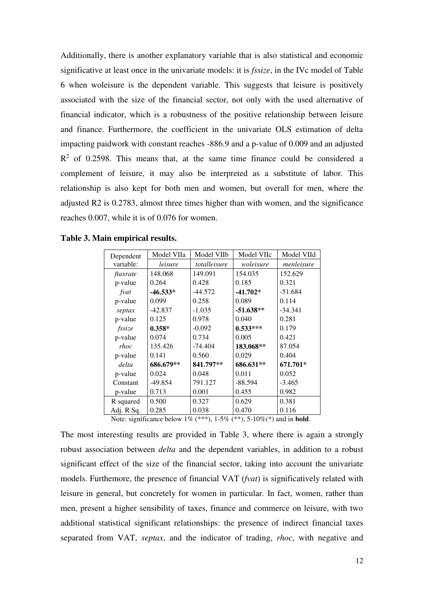Additionally, there is another explanatory variable that is also statistical and economic significative at least once in the univariate models: it is *fssize*, in the IVc model of Table 6 when woleisure is the dependent variable. This suggests that leisure is positively associated with the size of the financial sector, not only with the used alternative of financial indicator, which is a robustness of the positive relationship between leisure and finance. Furthermore, the coefficient in the univariate OLS estimation of delta impacting paidwork with constant reaches -886.9 and a p-value of 0.009 and an adjusted  $R<sup>2</sup>$  of 0.2598. This means that, at the same time finance could be considered a complement of leisure, it may also be interpreted as a substitute of labor. This relationship is also kept for both men and women, but overall for men, where the adjusted R2 is 0.2783, almost three times higher than with women, and the significance reaches 0.007, while it is of 0.076 for women.

| Dependent  | Model VIIa | Model VIIb   | Model VIIc  | Model VIId |
|------------|------------|--------------|-------------|------------|
| variable:  | leisure    | totalleisure | woleisure   | menleisure |
| ftaxrate   | 148.068    | 149.091      | 154.035     | 152.629    |
| p-value    | 0.264      | 0.428        | 0.185       | 0.321      |
| fvat       | $-46.533*$ | $-44.572$    | $-41.702*$  | $-51.684$  |
| p-value    | 0.099      | 0.258        | 0.089       | 0.114      |
| septax     | $-42.837$  | $-1.035$     | $-51.638**$ | $-34.341$  |
| p-value    | 0.125      | 0.978        | 0.040       | 0.281      |
| fssize     | $0.358*$   | $-0.092$     | $0.533***$  | 0.179      |
| p-value    | 0.074      | 0.734        | 0.005       | 0.421      |
| rhoc       | 135.426    | $-74.404$    | 183.068**   | 87.054     |
| p-value    | 0.141      | 0.560        | 0.029       | 0.404      |
| delta      | 686.679**  | 841.797**    | 686.631**   | 671.701*   |
| p-value    | 0.024      | 0.048        | 0.011       | 0.052      |
| Constant   | $-49.854$  | 791.127      | $-88.594$   | $-3.465$   |
| p-value    | 0.713      | 0.001        | 0.455       | 0.982      |
| R squared  | 0.500      | 0.327        | 0.629       | 0.381      |
| Adj. R Sq. | 0.285      | 0.038        | 0.470       | 0.116      |

**Table 3. Main empirical results.** 

Note: significance below 1% (\*\*\*), 1-5% (\*\*), 5-10%(\*) and in **bold**.

The most interesting results are provided in Table 3, where there is again a strongly robust association between *delta* and the dependent variables, in addition to a robust significant effect of the size of the financial sector, taking into account the univariate models. Furthemore, the presence of financial VAT (*fvat*) is significatively related with leisure in general, but concretely for women in particular. In fact, women, rather than men, present a higher sensibility of taxes, finance and commerce on leisure, with two additional statistical significant relationships: the presence of indirect financial taxes separated from VAT, *septax*, and the indicator of trading, *rhoc*, with negative and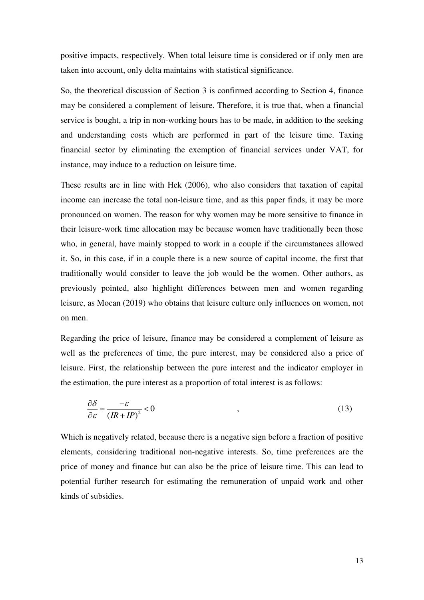positive impacts, respectively. When total leisure time is considered or if only men are taken into account, only delta maintains with statistical significance.

So, the theoretical discussion of Section 3 is confirmed according to Section 4, finance may be considered a complement of leisure. Therefore, it is true that, when a financial service is bought, a trip in non-working hours has to be made, in addition to the seeking and understanding costs which are performed in part of the leisure time. Taxing financial sector by eliminating the exemption of financial services under VAT, for instance, may induce to a reduction on leisure time.

These results are in line with Hek (2006), who also considers that taxation of capital income can increase the total non-leisure time, and as this paper finds, it may be more pronounced on women. The reason for why women may be more sensitive to finance in their leisure-work time allocation may be because women have traditionally been those who, in general, have mainly stopped to work in a couple if the circumstances allowed it. So, in this case, if in a couple there is a new source of capital income, the first that traditionally would consider to leave the job would be the women. Other authors, as previously pointed, also highlight differences between men and women regarding leisure, as Mocan (2019) who obtains that leisure culture only influences on women, not on men.

Regarding the price of leisure, finance may be considered a complement of leisure as well as the preferences of time, the pure interest, may be considered also a price of leisure. First, the relationship between the pure interest and the indicator employer in the estimation, the pure interest as a proportion of total interest is as follows:

$$
\frac{\partial \delta}{\partial \varepsilon} = \frac{-\varepsilon}{\left(R + IP\right)^2} < 0 \tag{13}
$$

Which is negatively related, because there is a negative sign before a fraction of positive elements, considering traditional non-negative interests. So, time preferences are the price of money and finance but can also be the price of leisure time. This can lead to potential further research for estimating the remuneration of unpaid work and other kinds of subsidies.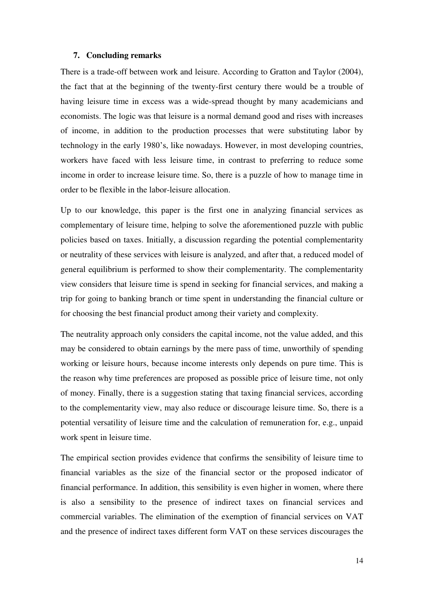#### **7. Concluding remarks**

There is a trade-off between work and leisure. According to Gratton and Taylor (2004), the fact that at the beginning of the twenty-first century there would be a trouble of having leisure time in excess was a wide-spread thought by many academicians and economists. The logic was that leisure is a normal demand good and rises with increases of income, in addition to the production processes that were substituting labor by technology in the early 1980's, like nowadays. However, in most developing countries, workers have faced with less leisure time, in contrast to preferring to reduce some income in order to increase leisure time. So, there is a puzzle of how to manage time in order to be flexible in the labor-leisure allocation.

Up to our knowledge, this paper is the first one in analyzing financial services as complementary of leisure time, helping to solve the aforementioned puzzle with public policies based on taxes. Initially, a discussion regarding the potential complementarity or neutrality of these services with leisure is analyzed, and after that, a reduced model of general equilibrium is performed to show their complementarity. The complementarity view considers that leisure time is spend in seeking for financial services, and making a trip for going to banking branch or time spent in understanding the financial culture or for choosing the best financial product among their variety and complexity.

The neutrality approach only considers the capital income, not the value added, and this may be considered to obtain earnings by the mere pass of time, unworthily of spending working or leisure hours, because income interests only depends on pure time. This is the reason why time preferences are proposed as possible price of leisure time, not only of money. Finally, there is a suggestion stating that taxing financial services, according to the complementarity view, may also reduce or discourage leisure time. So, there is a potential versatility of leisure time and the calculation of remuneration for, e.g., unpaid work spent in leisure time.

The empirical section provides evidence that confirms the sensibility of leisure time to financial variables as the size of the financial sector or the proposed indicator of financial performance. In addition, this sensibility is even higher in women, where there is also a sensibility to the presence of indirect taxes on financial services and commercial variables. The elimination of the exemption of financial services on VAT and the presence of indirect taxes different form VAT on these services discourages the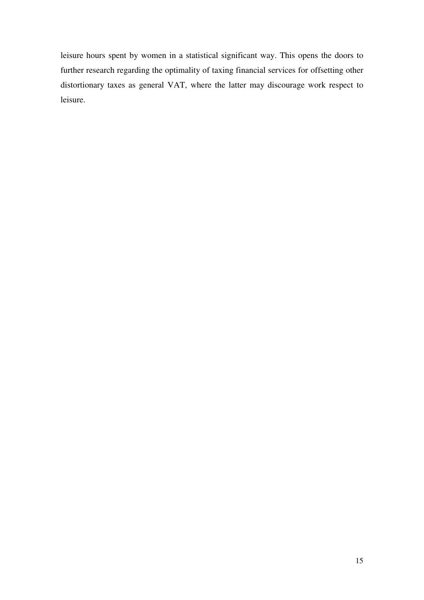leisure hours spent by women in a statistical significant way. This opens the doors to further research regarding the optimality of taxing financial services for offsetting other distortionary taxes as general VAT, where the latter may discourage work respect to leisure.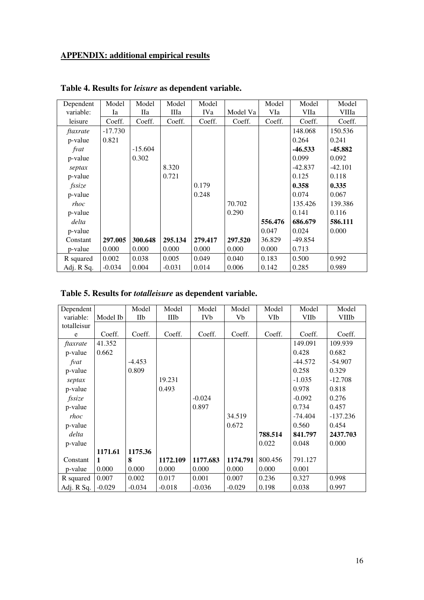# **APPENDIX: additional empirical results**

| Dependent  | Model     | Model      | Model    | Model      |          | Model   | Model     | Model     |
|------------|-----------|------------|----------|------------|----------|---------|-----------|-----------|
| variable:  | Ia        | <b>IIa</b> | Шa       | <b>IVa</b> | Model Va | VIa     | VIIa      | VIIIa     |
| leisure    | Coeff.    | Coeff.     | Coeff.   | Coeff.     | Coeff.   | Coeff.  | Coeff.    | Coeff.    |
| ftaxrate   | $-17.730$ |            |          |            |          |         | 148.068   | 150.536   |
| p-value    | 0.821     |            |          |            |          |         | 0.264     | 0.241     |
| fvat       |           | $-15.604$  |          |            |          |         | $-46.533$ | -45.882   |
| p-value    |           | 0.302      |          |            |          |         | 0.099     | 0.092     |
| septax     |           |            | 8.320    |            |          |         | $-42.837$ | $-42.101$ |
| p-value    |           |            | 0.721    |            |          |         | 0.125     | 0.118     |
| fssize     |           |            |          | 0.179      |          |         | 0.358     | 0.335     |
| p-value    |           |            |          | 0.248      |          |         | 0.074     | 0.067     |
| rhoc       |           |            |          |            | 70.702   |         | 135.426   | 139.386   |
| p-value    |           |            |          |            | 0.290    |         | 0.141     | 0.116     |
| delta      |           |            |          |            |          | 556.476 | 686.679   | 586.111   |
| p-value    |           |            |          |            |          | 0.047   | 0.024     | 0.000     |
| Constant   | 297.005   | 300.648    | 295.134  | 279.417    | 297.520  | 36.829  | $-49.854$ |           |
| p-value    | 0.000     | 0.000      | 0.000    | 0.000      | 0.000    | 0.000   | 0.713     |           |
| R squared  | 0.002     | 0.038      | 0.005    | 0.049      | 0.040    | 0.183   | 0.500     | 0.992     |
| Adj. R Sq. | $-0.034$  | 0.004      | $-0.031$ | 0.014      | 0.006    | 0.142   | 0.285     | 0.989     |

# **Table 4. Results for** *leisure* **as dependent variable.**

|  | Table 5. Results for <i>totalleisure</i> as dependent variable. |  |  |
|--|-----------------------------------------------------------------|--|--|
|  |                                                                 |  |  |

| Dependent   |              | Model    | Model    | Model      | Model    | Model   | Model     | Model        |
|-------------|--------------|----------|----------|------------|----------|---------|-----------|--------------|
| variable:   | Model Ib     | IIb      | IIIb     | <b>IVb</b> | Vb       | VIb     | VIIb      | <b>VIIIb</b> |
| totalleisur |              |          |          |            |          |         |           |              |
| e           | Coeff.       | Coeff.   | Coeff.   | Coeff.     | Coeff.   | Coeff.  | Coeff.    | Coeff.       |
| ftaxrate    | 41.352       |          |          |            |          |         | 149.091   | 109.939      |
| p-value     | 0.662        |          |          |            |          |         | 0.428     | 0.682        |
| fvat        |              | $-4.453$ |          |            |          |         | $-44.572$ | $-54.907$    |
| p-value     |              | 0.809    |          |            |          |         | 0.258     | 0.329        |
| septax      |              |          | 19.231   |            |          |         | $-1.035$  | $-12.708$    |
| p-value     |              |          | 0.493    |            |          |         | 0.978     | 0.818        |
| fssize      |              |          |          | $-0.024$   |          |         | $-0.092$  | 0.276        |
| p-value     |              |          |          | 0.897      |          |         | 0.734     | 0.457        |
| rhoc        |              |          |          |            | 34.519   |         | $-74.404$ | -137.236     |
| p-value     |              |          |          |            | 0.672    |         | 0.560     | 0.454        |
| delta       |              |          |          |            |          | 788.514 | 841.797   | 2437.703     |
| p-value     |              |          |          |            |          | 0.022   | 0.048     | 0.000        |
|             | 1171.61      | 1175.36  |          |            |          |         |           |              |
| Constant    | $\mathbf{1}$ | 8        | 1172.109 | 1177.683   | 1174.791 | 800.456 | 791.127   |              |
| p-value     | 0.000        | 0.000    | 0.000    | 0.000      | 0.000    | 0.000   | 0.001     |              |
| R squared   | 0.007        | 0.002    | 0.017    | 0.001      | 0.007    | 0.236   | 0.327     | 0.998        |
| Adj. R Sq.  | $-0.029$     | $-0.034$ | $-0.018$ | $-0.036$   | $-0.029$ | 0.198   | 0.038     | 0.997        |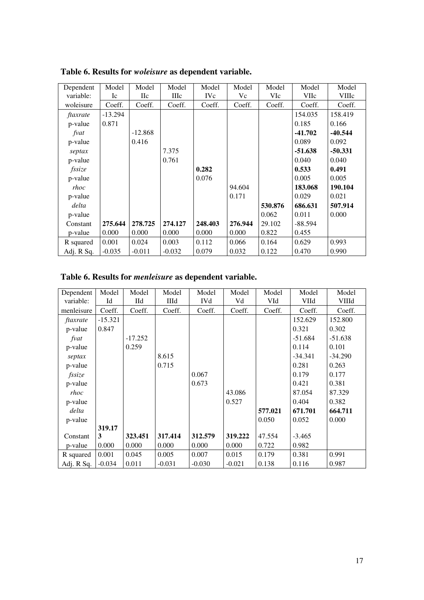| Dependent<br>variable: | Model<br>Ic | Model<br>$\rm_{\rm IIC}$ | Model<br><b>III</b> c | Model<br><b>IVc</b> | Model<br>Vc | Model<br>VIc | Model<br><b>VIIc</b> | Model<br><b>VIIIc</b> |
|------------------------|-------------|--------------------------|-----------------------|---------------------|-------------|--------------|----------------------|-----------------------|
| woleisure              | Coeff.      | Coeff.                   | Coeff.                | Coeff.              | Coeff.      | Coeff.       | Coeff.               | Coeff.                |
| ftaxrate               | $-13.294$   |                          |                       |                     |             |              | 154.035              | 158.419               |
| p-value                | 0.871       |                          |                       |                     |             |              | 0.185                | 0.166                 |
| fvat                   |             | $-12.868$                |                       |                     |             |              | $-41.702$            | $-40.544$             |
| p-value                |             | 0.416                    |                       |                     |             |              | 0.089                | 0.092                 |
| septax                 |             |                          | 7.375                 |                     |             |              | $-51.638$            | $-50.331$             |
| p-value                |             |                          | 0.761                 |                     |             |              | 0.040                | 0.040                 |
| fssize                 |             |                          |                       | 0.282               |             |              | 0.533                | 0.491                 |
| p-value                |             |                          |                       | 0.076               |             |              | 0.005                | 0.005                 |
| rhoc                   |             |                          |                       |                     | 94.604      |              | 183.068              | 190.104               |
| p-value                |             |                          |                       |                     | 0.171       |              | 0.029                | 0.021                 |
| delta                  |             |                          |                       |                     |             | 530.876      | 686.631              | 507.914               |
| p-value                |             |                          |                       |                     |             | 0.062        | 0.011                | 0.000                 |
| Constant               | 275.644     | 278.725                  | 274.127               | 248.403             | 276.944     | 29.102       | -88.594              |                       |
| p-value                | 0.000       | 0.000                    | 0.000                 | 0.000               | 0.000       | 0.822        | 0.455                |                       |
| R squared              | 0.001       | 0.024                    | 0.003                 | 0.112               | 0.066       | 0.164        | 0.629                | 0.993                 |
| Adj. R Sq.             | $-0.035$    | $-0.011$                 | $-0.032$              | 0.079               | 0.032       | 0.122        | 0.470                | 0.990                 |

**Table 6. Results for** *woleisure* **as dependent variable.** 

| Table 6. Results for <i>menleisure</i> as dependent variable. |  |  |  |  |  |  |  |
|---------------------------------------------------------------|--|--|--|--|--|--|--|
|---------------------------------------------------------------|--|--|--|--|--|--|--|

| Dependent<br>variable: | Model<br>Id | Model<br>Пd | Model<br>IIId | Model<br><b>IVd</b> | Model<br>Vd | Model<br>VId | Model<br>VIId | Model<br>VIIId |
|------------------------|-------------|-------------|---------------|---------------------|-------------|--------------|---------------|----------------|
| menleisure             | Coeff.      | Coeff.      | Coeff.        | Coeff.              | Coeff.      | Coeff.       | Coeff.        | Coeff.         |
| ftaxrate               | $-15.321$   |             |               |                     |             |              | 152.629       | 152.800        |
| p-value                | 0.847       |             |               |                     |             |              | 0.321         | 0.302          |
| fvat                   |             | $-17.252$   |               |                     |             |              | $-51.684$     | $-51.638$      |
| p-value                |             | 0.259       |               |                     |             |              | 0.114         | 0.101          |
| septax                 |             |             | 8.615         |                     |             |              | $-34.341$     | -34.290        |
| p-value                |             |             | 0.715         |                     |             |              | 0.281         | 0.263          |
| fssize                 |             |             |               | 0.067               |             |              | 0.179         | 0.177          |
| p-value                |             |             |               | 0.673               |             |              | 0.421         | 0.381          |
| rhoc                   |             |             |               |                     | 43.086      |              | 87.054        | 87.329         |
| p-value                |             |             |               |                     | 0.527       |              | 0.404         | 0.382          |
| delta                  |             |             |               |                     |             | 577.021      | 671.701       | 664.711        |
| p-value                |             |             |               |                     |             | 0.050        | 0.052         | 0.000          |
|                        | 319.17      |             |               |                     |             |              |               |                |
| Constant               | 3           | 323.451     | 317.414       | 312.579             | 319.222     | 47.554       | $-3.465$      |                |
| p-value                | 0.000       | 0.000       | 0.000         | 0.000               | 0.000       | 0.722        | 0.982         |                |
| R squared              | 0.001       | 0.045       | 0.005         | 0.007               | 0.015       | 0.179        | 0.381         | 0.991          |
| Adj. R Sq.             | $-0.034$    | 0.011       | $-0.031$      | $-0.030$            | $-0.021$    | 0.138        | 0.116         | 0.987          |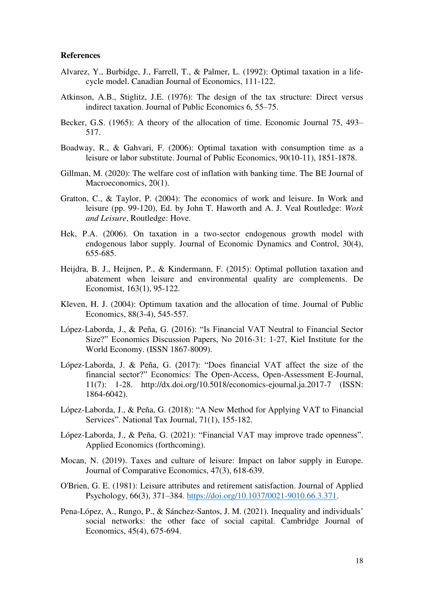#### **References**

- Alvarez, Y., Burbidge, J., Farrell, T., & Palmer, L. (1992): Optimal taxation in a lifecycle model. Canadian Journal of Economics, 111-122.
- Atkinson, A.B., Stiglitz, J.E. (1976): The design of the tax structure: Direct versus indirect taxation. Journal of Public Economics 6, 55–75.
- Becker, G.S. (1965): A theory of the allocation of time. Economic Journal 75, 493– 517.
- Boadway, R., & Gahvari, F. (2006): Optimal taxation with consumption time as a leisure or labor substitute. Journal of Public Economics, 90(10-11), 1851-1878.
- Gillman, M. (2020): The welfare cost of inflation with banking time. The BE Journal of Macroeconomics, 20(1).
- Gratton, C., & Taylor, P. (2004): The economics of work and leisure. In Work and leisure (pp. 99-120), Ed. by John T. Haworth and A. J. Veal Routledge: *Work and Leisure*, Routledge: Hove.
- Hek, P.A. (2006). On taxation in a two-sector endogenous growth model with endogenous labor supply. Journal of Economic Dynamics and Control, 30(4), 655-685.
- Heijdra, B. J., Heijnen, P., & Kindermann, F. (2015): Optimal pollution taxation and abatement when leisure and environmental quality are complements. De Economist, 163(1), 95-122.
- Kleven, H. J. (2004): Optimum taxation and the allocation of time. Journal of Public Economics, 88(3-4), 545-557.
- López-Laborda, J., & Peña, G. (2016): "Is Financial VAT Neutral to Financial Sector Size?" Economics Discussion Papers, No 2016-31: 1-27, Kiel Institute for the World Economy. (ISSN 1867-8009).
- López-Laborda, J. & Peña, G. (2017): "Does financial VAT affect the size of the financial sector?" Economics: The Open-Access, Open-Assessment E-Journal, 11(7): 1-28. http://dx.doi.org/10.5018/economics-ejournal.ja.2017-7 (ISSN: 1864-6042).
- López-Laborda, J., & Peña, G. (2018): "A New Method for Applying VAT to Financial Services". National Tax Journal, 71(1), 155-182.
- López-Laborda, J., & Peña, G. (2021): "Financial VAT may improve trade openness". Applied Economics (forthcoming).
- Mocan, N. (2019). Taxes and culture of leisure: Impact on labor supply in Europe. Journal of Comparative Economics, 47(3), 618-639.
- O'Brien, G. E. (1981): Leisure attributes and retirement satisfaction. Journal of Applied Psychology, 66(3), 371–384. [https://doi.org/10.1037/0021-9010.66.3.371.](https://doi.org/10.1037/0021-9010.66.3.371)
- Pena-López, A., Rungo, P., & Sánchez-Santos, J. M. (2021). Inequality and individuals' social networks: the other face of social capital. Cambridge Journal of Economics, 45(4), 675-694.